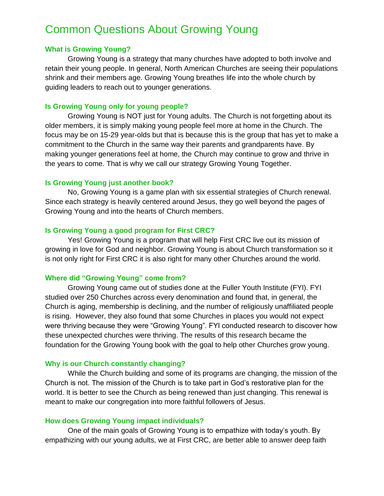# Common Questions About Growing Young

## **What is Growing Young?**

Growing Young is a strategy that many churches have adopted to both involve and retain their young people. In general, North American Churches are seeing their populations shrink and their members age. Growing Young breathes life into the whole church by guiding leaders to reach out to younger generations.

## **Is Growing Young only for young people?**

Growing Young is NOT just for Young adults. The Church is not forgetting about its older members, it is simply making young people feel more at home in the Church. The focus may be on 15-29 year-olds but that is because this is the group that has yet to make a commitment to the Church in the same way their parents and grandparents have. By making younger generations feel at home, the Church may continue to grow and thrive in the years to come. That is why we call our strategy Growing Young Together.

## **Is Growing Young just another book?**

No, Growing Young is a game plan with six essential strategies of Church renewal. Since each strategy is heavily centered around Jesus, they go well beyond the pages of Growing Young and into the hearts of Church members.

### **Is Growing Young a good program for First CRC?**

Yes! Growing Young is a program that will help First CRC live out its mission of growing in love for God and neighbor. Growing Young is about Church transformation so it is not only right for First CRC it is also right for many other Churches around the world.

## **Where did "Growing Young" come from?**

Growing Young came out of studies done at the Fuller Youth Institute (FYI). FYI studied over 250 Churches across every denomination and found that, in general, the Church is aging, membership is declining, and the number of religiously unaffiliated people is rising. However, they also found that some Churches in places you would not expect were thriving because they were "Growing Young". FYI conducted research to discover how these unexpected churches were thriving. The results of this research became the foundation for the Growing Young book with the goal to help other Churches grow young.

## **Why is our Church constantly changing?**

While the Church building and some of its programs are changing, the mission of the Church is not. The mission of the Church is to take part in God's restorative plan for the world. It is better to see the Church as being renewed than just changing. This renewal is meant to make our congregation into more faithful followers of Jesus.

## **How does Growing Young impact individuals?**

One of the main goals of Growing Young is to empathize with today's youth. By empathizing with our young adults, we at First CRC, are better able to answer deep faith